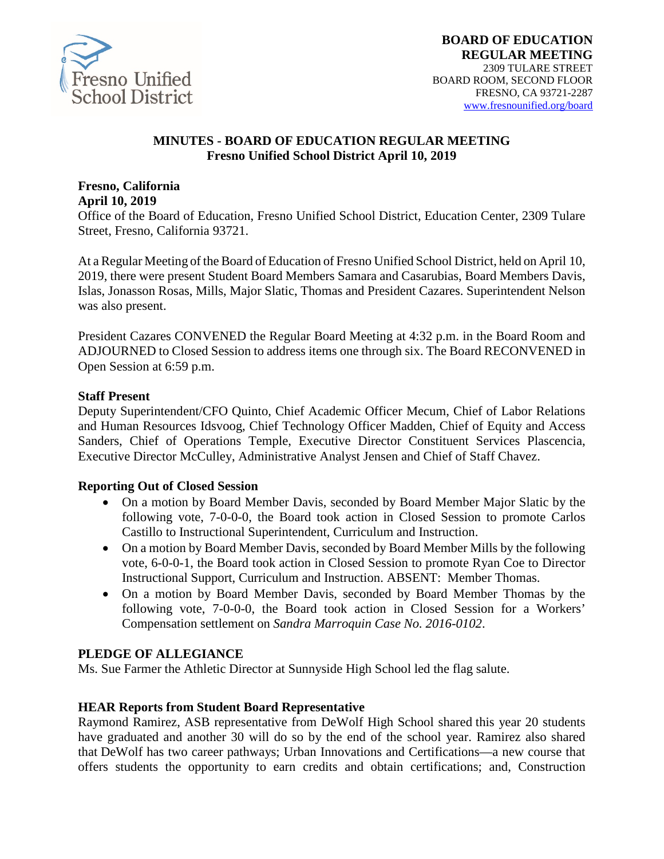

#### **MINUTES - BOARD OF EDUCATION REGULAR MEETING Fresno Unified School District April 10, 2019**

#### **Fresno, California April 10, 2019**

Office of the Board of Education, Fresno Unified School District, Education Center, 2309 Tulare Street, Fresno, California 93721.

At a Regular Meeting of the Board of Education of Fresno Unified School District, held on April 10, 2019, there were present Student Board Members Samara and Casarubias, Board Members Davis, Islas, Jonasson Rosas, Mills, Major Slatic, Thomas and President Cazares. Superintendent Nelson was also present.

President Cazares CONVENED the Regular Board Meeting at 4:32 p.m. in the Board Room and ADJOURNED to Closed Session to address items one through six. The Board RECONVENED in Open Session at 6:59 p.m.

#### **Staff Present**

Deputy Superintendent/CFO Quinto, Chief Academic Officer Mecum, Chief of Labor Relations and Human Resources Idsvoog, Chief Technology Officer Madden, Chief of Equity and Access Sanders, Chief of Operations Temple, Executive Director Constituent Services Plascencia, Executive Director McCulley, Administrative Analyst Jensen and Chief of Staff Chavez.

#### **Reporting Out of Closed Session**

- On a motion by Board Member Davis, seconded by Board Member Major Slatic by the following vote, 7-0-0-0, the Board took action in Closed Session to promote Carlos Castillo to Instructional Superintendent, Curriculum and Instruction.
- On a motion by Board Member Davis, seconded by Board Member Mills by the following vote, 6-0-0-1, the Board took action in Closed Session to promote Ryan Coe to Director Instructional Support, Curriculum and Instruction. ABSENT: Member Thomas.
- On a motion by Board Member Davis, seconded by Board Member Thomas by the following vote, 7-0-0-0, the Board took action in Closed Session for a Workers' Compensation settlement on *Sandra Marroquin Case No. 2016-0102*.

### **PLEDGE OF ALLEGIANCE**

Ms. Sue Farmer the Athletic Director at Sunnyside High School led the flag salute.

#### **HEAR Reports from Student Board Representative**

Raymond Ramirez, ASB representative from DeWolf High School shared this year 20 students have graduated and another 30 will do so by the end of the school year. Ramirez also shared that DeWolf has two career pathways; Urban Innovations and Certifications—a new course that offers students the opportunity to earn credits and obtain certifications; and, Construction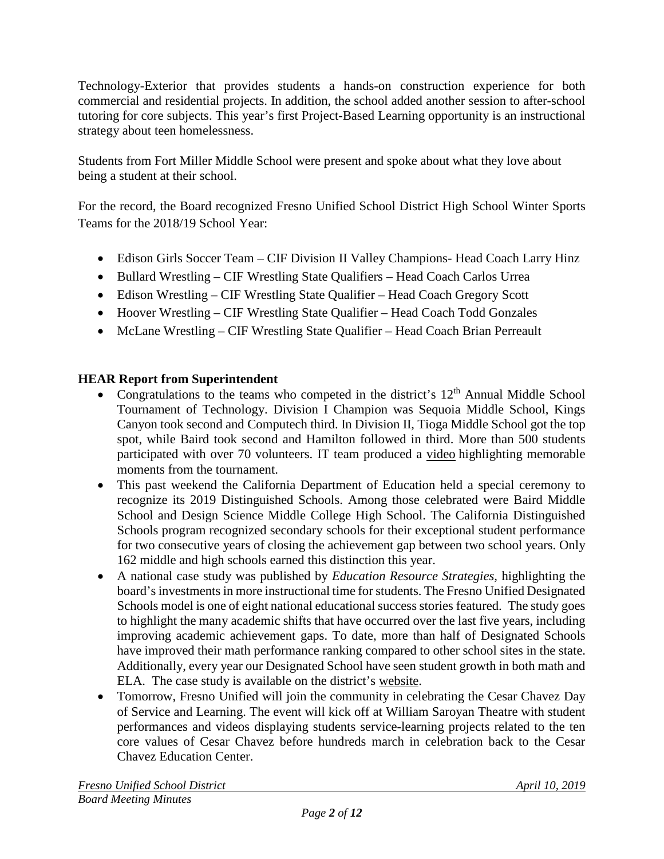Technology-Exterior that provides students a hands-on construction experience for both commercial and residential projects. In addition, the school added another session to after-school tutoring for core subjects. This year's first Project-Based Learning opportunity is an instructional strategy about teen homelessness.

Students from Fort Miller Middle School were present and spoke about what they love about being a student at their school.

For the record, the Board recognized Fresno Unified School District High School Winter Sports Teams for the 2018/19 School Year:

- Edison Girls Soccer Team CIF Division II Valley Champions- Head Coach Larry Hinz
- Bullard Wrestling CIF Wrestling State Qualifiers Head Coach Carlos Urrea
- Edison Wrestling CIF Wrestling State Qualifier Head Coach Gregory Scott
- Hoover Wrestling CIF Wrestling State Qualifier Head Coach Todd Gonzales
- McLane Wrestling CIF Wrestling State Qualifier Head Coach Brian Perreault

## **HEAR Report from Superintendent**

- Congratulations to the teams who competed in the district's  $12<sup>th</sup>$  Annual Middle School Tournament of Technology. Division I Champion was Sequoia Middle School, Kings Canyon took second and Computech third. In Division II, Tioga Middle School got the top spot, while Baird took second and Hamilton followed in third. More than 500 students participated with over 70 volunteers. IT team produced a video highlighting memorable moments from the tournament.
- This past weekend the California Department of Education held a special ceremony to recognize its 2019 Distinguished Schools. Among those celebrated were Baird Middle School and Design Science Middle College High School. The California Distinguished Schools program recognized secondary schools for their exceptional student performance for two consecutive years of closing the achievement gap between two school years. Only 162 middle and high schools earned this distinction this year.
- A national case study was published by *Education Resource Strategies,* highlighting the board's investments in more instructional time for students. The Fresno Unified Designated Schools model is one of eight national educational success stories featured. The study goes to highlight the many academic shifts that have occurred over the last five years, including improving academic achievement gaps. To date, more than half of Designated Schools have improved their math performance ranking compared to other school sites in the state. Additionally, every year our Designated School have seen student growth in both math and ELA. The case study is available on the district's [website.](https://nam02.safelinks.protection.outlook.com/?url=https%3A%2F%2Fwww.erstrategies.org%2Ftap%2Ffresno_unified_school_district_more_time_for_learning&data=02%7C01%7CGina.Moya%40fresnounified.org%7Cf40276d324024f02d6d108d6be3e2a47%7C74c9008303c6453a801c9251cdd17eb8%7C0%7C0%7C636905571591103508&sdata=4brgjgk14a%2BepPheHW4DSXewpGSsdwrayZ%2BQ30RyM%2Fs%3D&reserved=0)
- Tomorrow, Fresno Unified will join the community in celebrating the Cesar Chavez Day of Service and Learning. The event will kick off at William Saroyan Theatre with student performances and videos displaying students service-learning projects related to the ten core values of Cesar Chavez before hundreds march in celebration back to the Cesar Chavez Education Center.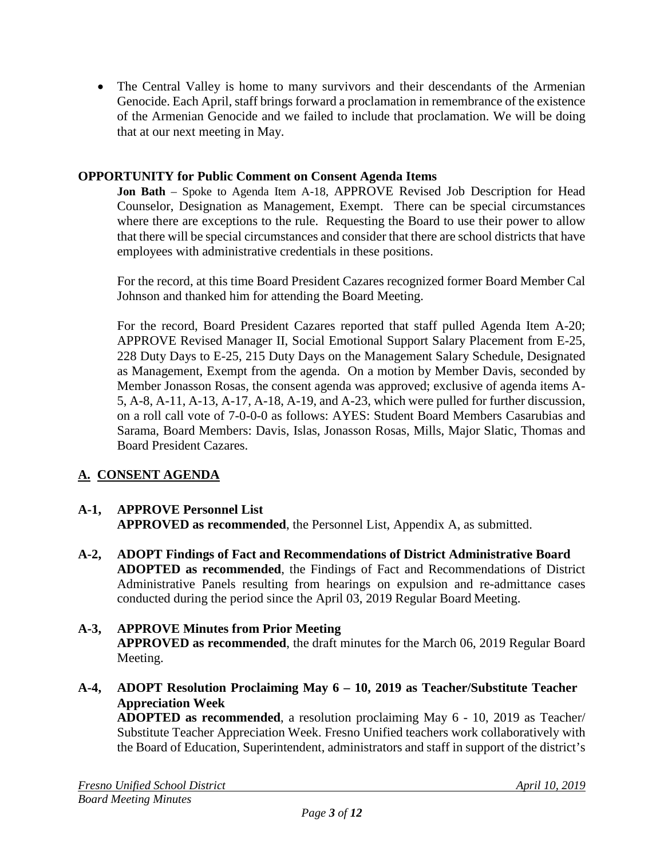• The Central Valley is home to many survivors and their descendants of the Armenian Genocide. Each April, staff brings forward a proclamation in remembrance of the existence of the Armenian Genocide and we failed to include that proclamation. We will be doing that at our next meeting in May.

### **OPPORTUNITY for Public Comment on Consent Agenda Items**

**Jon Bath** – Spoke to Agenda Item A-18, APPROVE Revised Job Description for Head Counselor, Designation as Management, Exempt. There can be special circumstances where there are exceptions to the rule. Requesting the Board to use their power to allow that there will be special circumstances and consider that there are school districts that have employees with administrative credentials in these positions.

For the record, at this time Board President Cazares recognized former Board Member Cal Johnson and thanked him for attending the Board Meeting.

For the record, Board President Cazares reported that staff pulled Agenda Item A-20; APPROVE Revised Manager II, Social Emotional Support Salary Placement from E-25, 228 Duty Days to E-25, 215 Duty Days on the Management Salary Schedule, Designated as Management, Exempt from the agenda. On a motion by Member Davis, seconded by Member Jonasson Rosas, the consent agenda was approved; exclusive of agenda items A-5, A-8, A-11, A-13, A-17, A-18, A-19, and A-23, which were pulled for further discussion, on a roll call vote of 7-0-0-0 as follows: AYES: Student Board Members Casarubias and Sarama, Board Members: Davis, Islas, Jonasson Rosas, Mills, Major Slatic, Thomas and Board President Cazares.

## **A. CONSENT AGENDA**

#### **A-1, APPROVE Personnel List APPROVED as recommended**, the Personnel List, Appendix A, as submitted.

**A-2, ADOPT Findings of Fact and Recommendations of District Administrative Board ADOPTED as recommended**, the Findings of Fact and Recommendations of District Administrative Panels resulting from hearings on expulsion and re-admittance cases conducted during the period since the April 03, 2019 Regular Board Meeting.

#### **A-3, APPROVE Minutes from Prior Meeting APPROVED as recommended**, the draft minutes for the March 06, 2019 Regular Board Meeting.

**A-4, ADOPT Resolution Proclaiming May 6 – 10, 2019 as Teacher/Substitute Teacher Appreciation Week**

**ADOPTED as recommended**, a resolution proclaiming May 6 - 10, 2019 as Teacher/ Substitute Teacher Appreciation Week. Fresno Unified teachers work collaboratively with the Board of Education, Superintendent, administrators and staff in support of the district's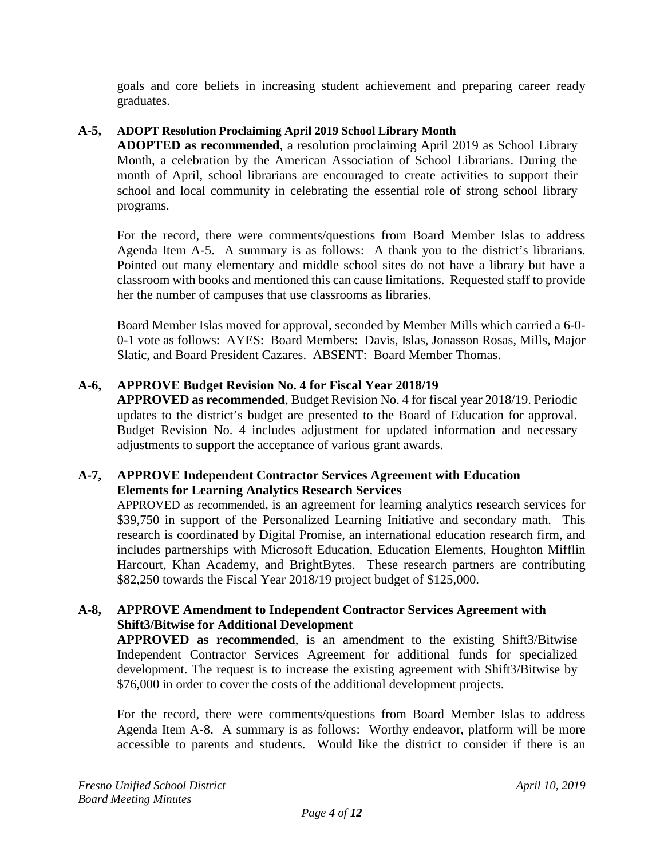goals and core beliefs in increasing student achievement and preparing career ready graduates.

## **A-5, ADOPT Resolution Proclaiming April 2019 School Library Month**

**ADOPTED as recommended**, a resolution proclaiming April 2019 as School Library Month, a celebration by the American Association of School Librarians. During the month of April, school librarians are encouraged to create activities to support their school and local community in celebrating the essential role of strong school library programs.

For the record, there were comments/questions from Board Member Islas to address Agenda Item A-5. A summary is as follows: A thank you to the district's librarians. Pointed out many elementary and middle school sites do not have a library but have a classroom with books and mentioned this can cause limitations. Requested staff to provide her the number of campuses that use classrooms as libraries.

Board Member Islas moved for approval, seconded by Member Mills which carried a 6-0- 0-1 vote as follows: AYES: Board Members: Davis, Islas, Jonasson Rosas, Mills, Major Slatic, and Board President Cazares. ABSENT: Board Member Thomas.

## **A-6, APPROVE Budget Revision No. 4 for Fiscal Year 2018/19**

**APPROVED as recommended**, Budget Revision No. 4 for fiscal year 2018/19. Periodic updates to the district's budget are presented to the Board of Education for approval. Budget Revision No. 4 includes adjustment for updated information and necessary adjustments to support the acceptance of various grant awards.

### **A-7, APPROVE Independent Contractor Services Agreement with Education Elements for Learning Analytics Research Services**

APPROVED as recommended, is an agreement for learning analytics research services for \$39,750 in support of the Personalized Learning Initiative and secondary math. This research is coordinated by Digital Promise, an international education research firm, and includes partnerships with Microsoft Education, Education Elements, Houghton Mifflin Harcourt, Khan Academy, and BrightBytes. These research partners are contributing \$82,250 towards the Fiscal Year 2018/19 project budget of \$125,000.

#### **A-8, APPROVE Amendment to Independent Contractor Services Agreement with Shift3/Bitwise for Additional Development**

**APPROVED as recommended**, is an amendment to the existing Shift3/Bitwise Independent Contractor Services Agreement for additional funds for specialized development. The request is to increase the existing agreement with Shift3/Bitwise by \$76,000 in order to cover the costs of the additional development projects.

For the record, there were comments/questions from Board Member Islas to address Agenda Item A-8. A summary is as follows: Worthy endeavor, platform will be more accessible to parents and students. Would like the district to consider if there is an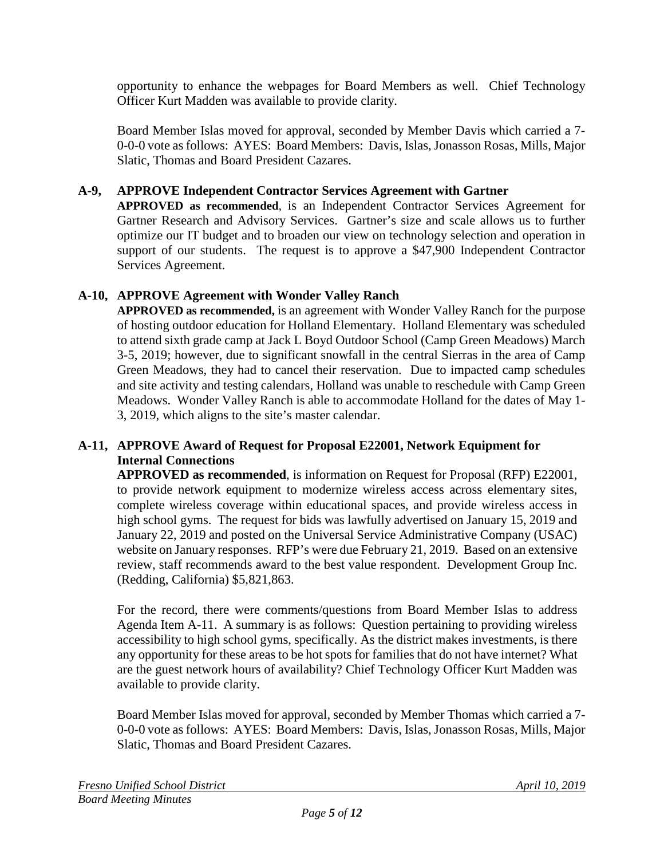opportunity to enhance the webpages for Board Members as well. Chief Technology Officer Kurt Madden was available to provide clarity.

Board Member Islas moved for approval, seconded by Member Davis which carried a 7- 0-0-0 vote as follows: AYES: Board Members: Davis, Islas, Jonasson Rosas, Mills, Major Slatic, Thomas and Board President Cazares.

## **A-9, APPROVE Independent Contractor Services Agreement with Gartner**

**APPROVED as recommended**, is an Independent Contractor Services Agreement for Gartner Research and Advisory Services. Gartner's size and scale allows us to further optimize our IT budget and to broaden our view on technology selection and operation in support of our students. The request is to approve a \$47,900 Independent Contractor Services Agreement.

## **A-10, APPROVE Agreement with Wonder Valley Ranch**

**APPROVED as recommended,** is an agreement with Wonder Valley Ranch for the purpose of hosting outdoor education for Holland Elementary. Holland Elementary was scheduled to attend sixth grade camp at Jack L Boyd Outdoor School (Camp Green Meadows) March 3-5, 2019; however, due to significant snowfall in the central Sierras in the area of Camp Green Meadows, they had to cancel their reservation. Due to impacted camp schedules and site activity and testing calendars, Holland was unable to reschedule with Camp Green Meadows. Wonder Valley Ranch is able to accommodate Holland for the dates of May 1- 3, 2019, which aligns to the site's master calendar.

### **A-11, APPROVE Award of Request for Proposal E22001, Network Equipment for Internal Connections**

**APPROVED as recommended**, is information on Request for Proposal (RFP) E22001, to provide network equipment to modernize wireless access across elementary sites, complete wireless coverage within educational spaces, and provide wireless access in high school gyms. The request for bids was lawfully advertised on January 15, 2019 and January 22, 2019 and posted on the Universal Service Administrative Company (USAC) website on January responses. RFP's were due February 21, 2019. Based on an extensive review, staff recommends award to the best value respondent. Development Group Inc. (Redding, California) \$5,821,863.

For the record, there were comments/questions from Board Member Islas to address Agenda Item A-11. A summary is as follows: Question pertaining to providing wireless accessibility to high school gyms, specifically. As the district makes investments, is there any opportunity for these areas to be hot spots for families that do not have internet? What are the guest network hours of availability? Chief Technology Officer Kurt Madden was available to provide clarity.

Board Member Islas moved for approval, seconded by Member Thomas which carried a 7- 0-0-0 vote as follows: AYES: Board Members: Davis, Islas, Jonasson Rosas, Mills, Major Slatic, Thomas and Board President Cazares.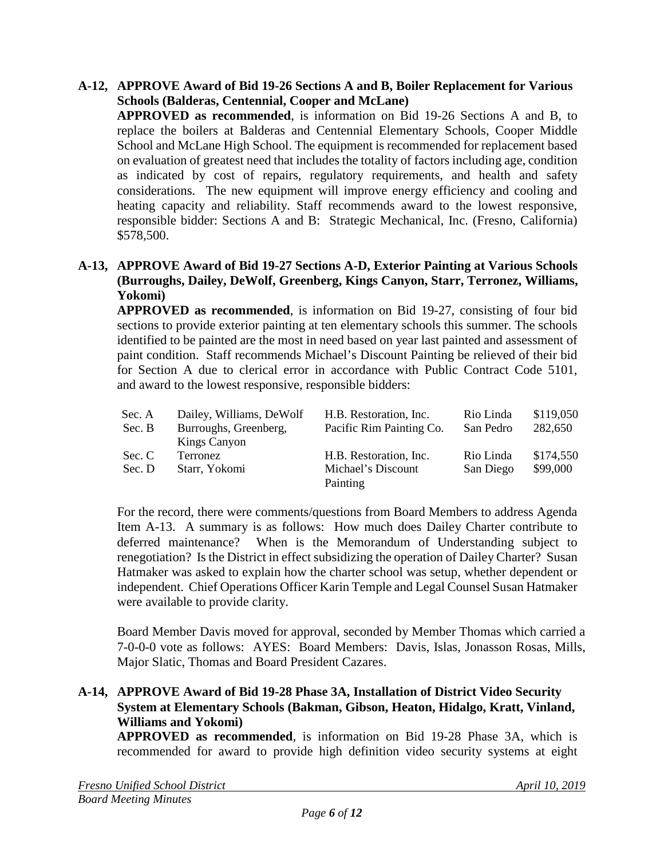#### **A-12, APPROVE Award of Bid 19-26 Sections A and B, Boiler Replacement for Various Schools (Balderas, Centennial, Cooper and McLane)**

**APPROVED as recommended**, is information on Bid 19-26 Sections A and B, to replace the boilers at Balderas and Centennial Elementary Schools, Cooper Middle School and McLane High School. The equipment is recommended for replacement based on evaluation of greatest need that includes the totality of factors including age, condition as indicated by cost of repairs, regulatory requirements, and health and safety considerations. The new equipment will improve energy efficiency and cooling and heating capacity and reliability. Staff recommends award to the lowest responsive, responsible bidder: Sections A and B: Strategic Mechanical, Inc. (Fresno, California) \$578,500.

#### **A-13, APPROVE Award of Bid 19-27 Sections A-D, Exterior Painting at Various Schools (Burroughs, Dailey, DeWolf, Greenberg, Kings Canyon, Starr, Terronez, Williams, Yokomi)**

**APPROVED as recommended**, is information on Bid 19-27, consisting of four bid sections to provide exterior painting at ten elementary schools this summer. The schools identified to be painted are the most in need based on year last painted and assessment of paint condition. Staff recommends Michael's Discount Painting be relieved of their bid for Section A due to clerical error in accordance with Public Contract Code 5101, and award to the lowest responsive, responsible bidders:

| Dailey, Williams, DeWolf | H.B. Restoration, Inc.         | Rio Linda | \$119,050 |
|--------------------------|--------------------------------|-----------|-----------|
| Burroughs, Greenberg,    | Pacific Rim Painting Co.       | San Pedro | 282,650   |
| <b>Kings Canyon</b>      |                                |           |           |
| Terronez                 | H.B. Restoration, Inc.         | Rio Linda | \$174,550 |
| Starr, Yokomi            | Michael's Discount<br>Painting | San Diego | \$99,000  |
|                          |                                |           |           |

For the record, there were comments/questions from Board Members to address Agenda Item A-13. A summary is as follows: How much does Dailey Charter contribute to deferred maintenance? When is the Memorandum of Understanding subject to renegotiation? Is the District in effect subsidizing the operation of Dailey Charter? Susan Hatmaker was asked to explain how the charter school was setup, whether dependent or independent. Chief Operations Officer Karin Temple and Legal Counsel Susan Hatmaker were available to provide clarity.

Board Member Davis moved for approval, seconded by Member Thomas which carried a 7-0-0-0 vote as follows: AYES: Board Members: Davis, Islas, Jonasson Rosas, Mills, Major Slatic, Thomas and Board President Cazares.

### **A-14, APPROVE Award of Bid 19-28 Phase 3A, Installation of District Video Security System at Elementary Schools (Bakman, Gibson, Heaton, Hidalgo, Kratt, Vinland, Williams and Yokomi)**

**APPROVED as recommended**, is information on Bid 19-28 Phase 3A, which is recommended for award to provide high definition video security systems at eight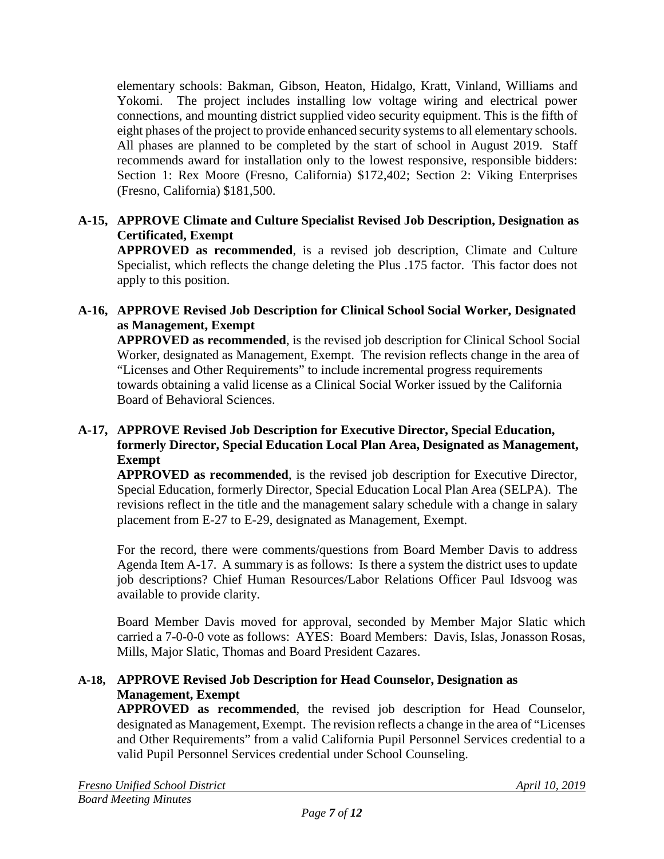elementary schools: Bakman, Gibson, Heaton, Hidalgo, Kratt, Vinland, Williams and Yokomi. The project includes installing low voltage wiring and electrical power connections, and mounting district supplied video security equipment. This is the fifth of eight phases of the project to provide enhanced security systems to all elementary schools. All phases are planned to be completed by the start of school in August 2019. Staff recommends award for installation only to the lowest responsive, responsible bidders: Section 1: Rex Moore (Fresno, California) \$172,402; Section 2: Viking Enterprises (Fresno, California) \$181,500.

### **A-15, APPROVE Climate and Culture Specialist Revised Job Description, Designation as Certificated, Exempt**

**APPROVED as recommended**, is a revised job description, Climate and Culture Specialist, which reflects the change deleting the Plus .175 factor. This factor does not apply to this position.

### **A-16, APPROVE Revised Job Description for Clinical School Social Worker, Designated as Management, Exempt**

**APPROVED as recommended**, is the revised job description for Clinical School Social Worker, designated as Management, Exempt. The revision reflects change in the area of "Licenses and Other Requirements" to include incremental progress requirements towards obtaining a valid license as a Clinical Social Worker issued by the California Board of Behavioral Sciences.

### **A-17, APPROVE Revised Job Description for Executive Director, Special Education, formerly Director, Special Education Local Plan Area, Designated as Management, Exempt**

**APPROVED as recommended**, is the revised job description for Executive Director, Special Education, formerly Director, Special Education Local Plan Area (SELPA). The revisions reflect in the title and the management salary schedule with a change in salary placement from E-27 to E-29, designated as Management, Exempt.

For the record, there were comments/questions from Board Member Davis to address Agenda Item A-17. A summary is as follows: Is there a system the district uses to update job descriptions? Chief Human Resources/Labor Relations Officer Paul Idsvoog was available to provide clarity.

Board Member Davis moved for approval, seconded by Member Major Slatic which carried a 7-0-0-0 vote as follows: AYES: Board Members: Davis, Islas, Jonasson Rosas, Mills, Major Slatic, Thomas and Board President Cazares.

### **A-18, APPROVE Revised Job Description for Head Counselor, Designation as Management, Exempt**

**APPROVED as recommended**, the revised job description for Head Counselor, designated as Management, Exempt. The revision reflects a change in the area of "Licenses and Other Requirements" from a valid California Pupil Personnel Services credential to a valid Pupil Personnel Services credential under School Counseling.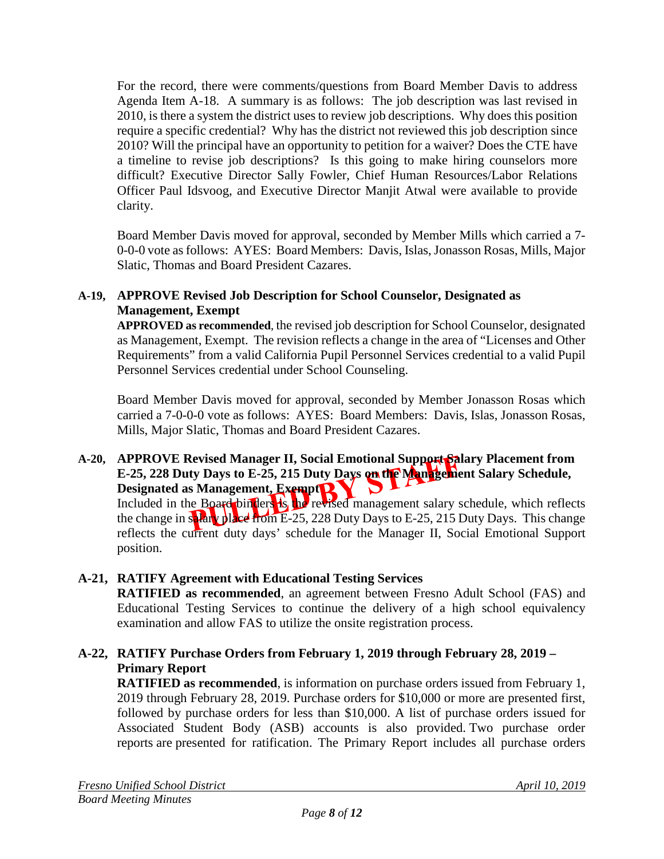For the record, there were comments/questions from Board Member Davis to address Agenda Item A-18. A summary is as follows: The job description was last revised in 2010, is there a system the district uses to review job descriptions. Why does this position require a specific credential? Why has the district not reviewed this job description since 2010? Will the principal have an opportunity to petition for a waiver? Does the CTE have a timeline to revise job descriptions? Is this going to make hiring counselors more difficult? Executive Director Sally Fowler, Chief Human Resources/Labor Relations Officer Paul Idsvoog, and Executive Director Manjit Atwal were available to provide clarity.

Board Member Davis moved for approval, seconded by Member Mills which carried a 7- 0-0-0 vote as follows: AYES: Board Members: Davis, Islas, Jonasson Rosas, Mills, Major Slatic, Thomas and Board President Cazares.

### **A-19, APPROVE Revised Job Description for School Counselor, Designated as Management, Exempt**

**APPROVED as recommended**, the revised job description for School Counselor, designated as Management, Exempt. The revision reflects a change in the area of "Licenses and Other Requirements" from a valid California Pupil Personnel Services credential to a valid Pupil Personnel Services credential under School Counseling.

Board Member Davis moved for approval, seconded by Member Jonasson Rosas which carried a 7-0-0-0 vote as follows: AYES: Board Members: Davis, Islas, Jonasson Rosas, Mills, Major Slatic, Thomas and Board President Cazares.

### **A-20, APPROVE Revised Manager II, Social Emotional Support Salary Placement from E-25, 228 Duty Days to E-25, 215 Duty Days on the Management Salary Schedule,**  Designated as Management, Exempt<sup>2</sup>

Included in the Board binders is the revised management salary schedule, which reflects the change in salary place from E-25, 228 Duty Days to E-25, 215 Duty Days. This change reflects the current duty days' schedule for the Manager II, Social Emotional Support position.

## **A-21, RATIFY Agreement with Educational Testing Services**

**RATIFIED as recommended**, an agreement between Fresno Adult School (FAS) and Educational Testing Services to continue the delivery of a high school equivalency examination and allow FAS to utilize the onsite registration process.

## **A-22, RATIFY Purchase Orders from February 1, 2019 through February 28, 2019 – Primary Report**

**RATIFIED as recommended**, is information on purchase orders issued from February 1, 2019 through February 28, 2019. Purchase orders for \$10,000 or more are presented first, followed by purchase orders for less than \$10,000. A list of purchase orders issued for Associated Student Body (ASB) accounts is also provided. Two purchase order reports are presented for ratification. The Primary Report includes all purchase orders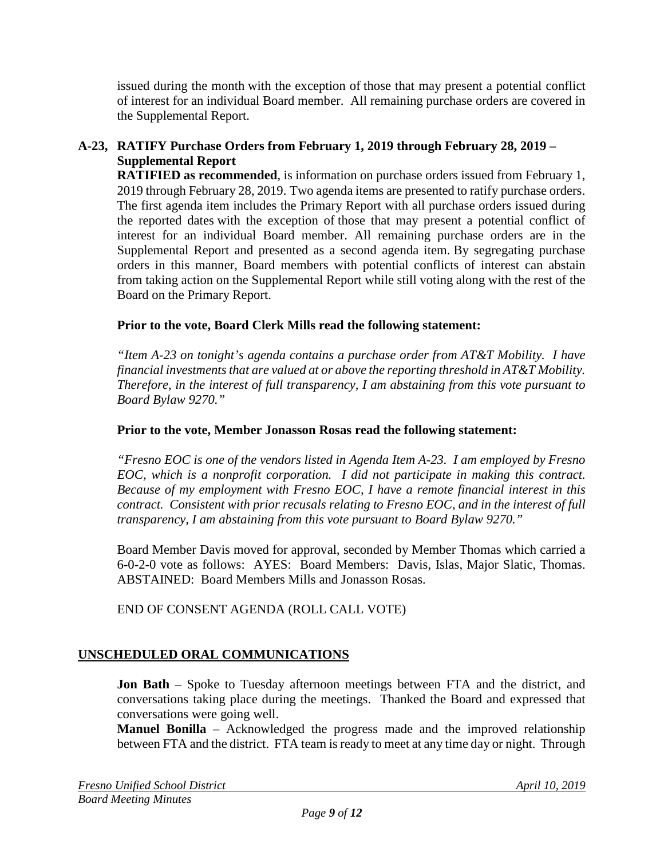issued during the month with the exception of those that may present a potential conflict of interest for an individual Board member. All remaining purchase orders are covered in the Supplemental Report.

## **A-23, RATIFY Purchase Orders from February 1, 2019 through February 28, 2019 – Supplemental Report**

**RATIFIED as recommended**, is information on purchase orders issued from February 1, 2019 through February 28, 2019. Two agenda items are presented to ratify purchase orders. The first agenda item includes the Primary Report with all purchase orders issued during the reported dates with the exception of those that may present a potential conflict of interest for an individual Board member. All remaining purchase orders are in the Supplemental Report and presented as a second agenda item. By segregating purchase orders in this manner, Board members with potential conflicts of interest can abstain from taking action on the Supplemental Report while still voting along with the rest of the Board on the Primary Report.

### **Prior to the vote, Board Clerk Mills read the following statement:**

*"Item A-23 on tonight's agenda contains a purchase order from AT&T Mobility. I have financial investments that are valued at or above the reporting threshold in AT&T Mobility. Therefore, in the interest of full transparency, I am abstaining from this vote pursuant to Board Bylaw 9270."*

### **Prior to the vote, Member Jonasson Rosas read the following statement:**

*"Fresno EOC is one of the vendors listed in Agenda Item A-23. I am employed by Fresno EOC, which is a nonprofit corporation. I did not participate in making this contract. Because of my employment with Fresno EOC, I have a remote financial interest in this contract. Consistent with prior recusals relating to Fresno EOC, and in the interest of full transparency, I am abstaining from this vote pursuant to Board Bylaw 9270."*

Board Member Davis moved for approval, seconded by Member Thomas which carried a 6-0-2-0 vote as follows: AYES: Board Members: Davis, Islas, Major Slatic, Thomas. ABSTAINED: Board Members Mills and Jonasson Rosas.

END OF CONSENT AGENDA (ROLL CALL VOTE)

## **UNSCHEDULED ORAL COMMUNICATIONS**

**Jon Bath** – Spoke to Tuesday afternoon meetings between FTA and the district, and conversations taking place during the meetings. Thanked the Board and expressed that conversations were going well.

**Manuel Bonilla** – Acknowledged the progress made and the improved relationship between FTA and the district. FTA team is ready to meet at any time day or night. Through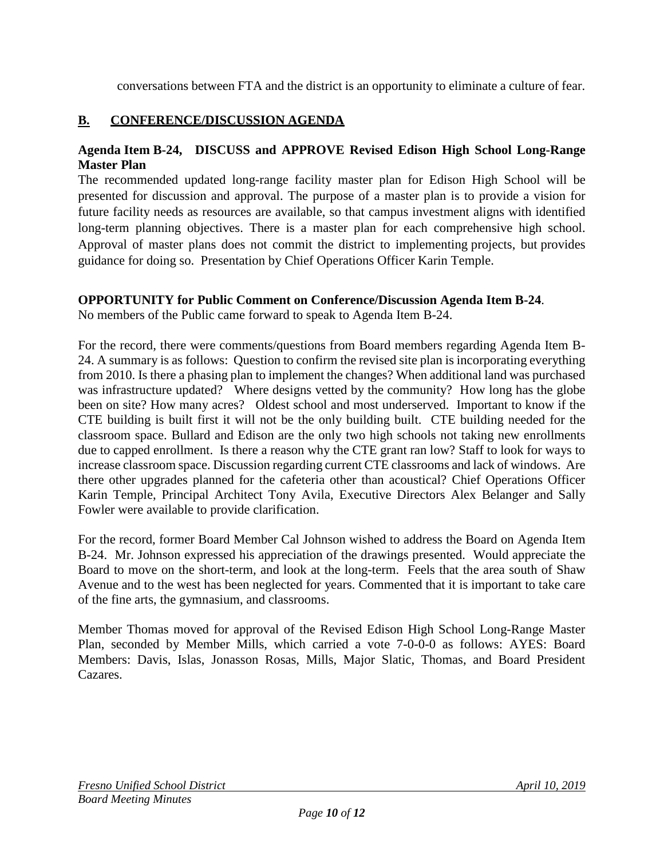conversations between FTA and the district is an opportunity to eliminate a culture of fear.

## **B. CONFERENCE/DISCUSSION AGENDA**

#### **Agenda Item B-24, DISCUSS and APPROVE Revised Edison High School Long-Range Master Plan**

The recommended updated long-range facility master plan for Edison High School will be presented for discussion and approval. The purpose of a master plan is to provide a vision for future facility needs as resources are available, so that campus investment aligns with identified long-term planning objectives. There is a master plan for each comprehensive high school. Approval of master plans does not commit the district to implementing projects, but provides guidance for doing so. Presentation by Chief Operations Officer Karin Temple.

### **OPPORTUNITY for Public Comment on Conference/Discussion Agenda Item B-24**.

No members of the Public came forward to speak to Agenda Item B-24.

For the record, there were comments/questions from Board members regarding Agenda Item B-24. A summary is as follows: Question to confirm the revised site plan is incorporating everything from 2010. Is there a phasing plan to implement the changes? When additional land was purchased was infrastructure updated? Where designs vetted by the community? How long has the globe been on site? How many acres? Oldest school and most underserved. Important to know if the CTE building is built first it will not be the only building built. CTE building needed for the classroom space. Bullard and Edison are the only two high schools not taking new enrollments due to capped enrollment. Is there a reason why the CTE grant ran low? Staff to look for ways to increase classroom space. Discussion regarding current CTE classrooms and lack of windows. Are there other upgrades planned for the cafeteria other than acoustical? Chief Operations Officer Karin Temple, Principal Architect Tony Avila, Executive Directors Alex Belanger and Sally Fowler were available to provide clarification.

For the record, former Board Member Cal Johnson wished to address the Board on Agenda Item B-24. Mr. Johnson expressed his appreciation of the drawings presented. Would appreciate the Board to move on the short-term, and look at the long-term. Feels that the area south of Shaw Avenue and to the west has been neglected for years. Commented that it is important to take care of the fine arts, the gymnasium, and classrooms.

Member Thomas moved for approval of the Revised Edison High School Long-Range Master Plan, seconded by Member Mills, which carried a vote 7-0-0-0 as follows: AYES: Board Members: Davis, Islas, Jonasson Rosas, Mills, Major Slatic, Thomas, and Board President Cazares.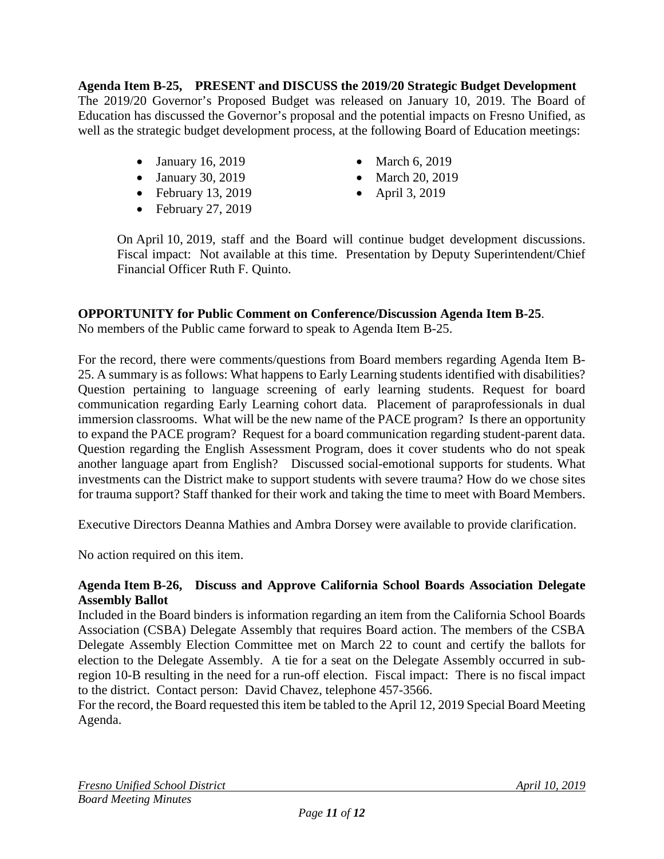**Agenda Item B-25, PRESENT and DISCUSS the 2019/20 Strategic Budget Development** The 2019/20 Governor's Proposed Budget was released on January 10, 2019. The Board of Education has discussed the Governor's proposal and the potential impacts on Fresno Unified, as well as the strategic budget development process, at the following Board of Education meetings:

- January 16, 2019
- January 30, 2019
- February 13, 2019
- February 27, 2019
- March 6, 2019
- March 20, 2019
- April 3, 2019

On April 10, 2019, staff and the Board will continue budget development discussions. Fiscal impact: Not available at this time. Presentation by Deputy Superintendent/Chief Financial Officer Ruth F. Quinto.

## **OPPORTUNITY for Public Comment on Conference/Discussion Agenda Item B-25**.

No members of the Public came forward to speak to Agenda Item B-25.

For the record, there were comments/questions from Board members regarding Agenda Item B-25. A summary is as follows: What happens to Early Learning students identified with disabilities? Question pertaining to language screening of early learning students. Request for board communication regarding Early Learning cohort data. Placement of paraprofessionals in dual immersion classrooms. What will be the new name of the PACE program? Is there an opportunity to expand the PACE program? Request for a board communication regarding student-parent data. Question regarding the English Assessment Program, does it cover students who do not speak another language apart from English? Discussed social-emotional supports for students. What investments can the District make to support students with severe trauma? How do we chose sites for trauma support? Staff thanked for their work and taking the time to meet with Board Members.

Executive Directors Deanna Mathies and Ambra Dorsey were available to provide clarification.

No action required on this item.

### **Agenda Item B-26, Discuss and Approve California School Boards Association Delegate Assembly Ballot**

Included in the Board binders is information regarding an item from the California School Boards Association (CSBA) Delegate Assembly that requires Board action. The members of the CSBA Delegate Assembly Election Committee met on March 22 to count and certify the ballots for election to the Delegate Assembly. A tie for a seat on the Delegate Assembly occurred in subregion 10-B resulting in the need for a run-off election. Fiscal impact: There is no fiscal impact to the district. Contact person: David Chavez, telephone 457-3566.

For the record, the Board requested this item be tabled to the April 12, 2019 Special Board Meeting Agenda.